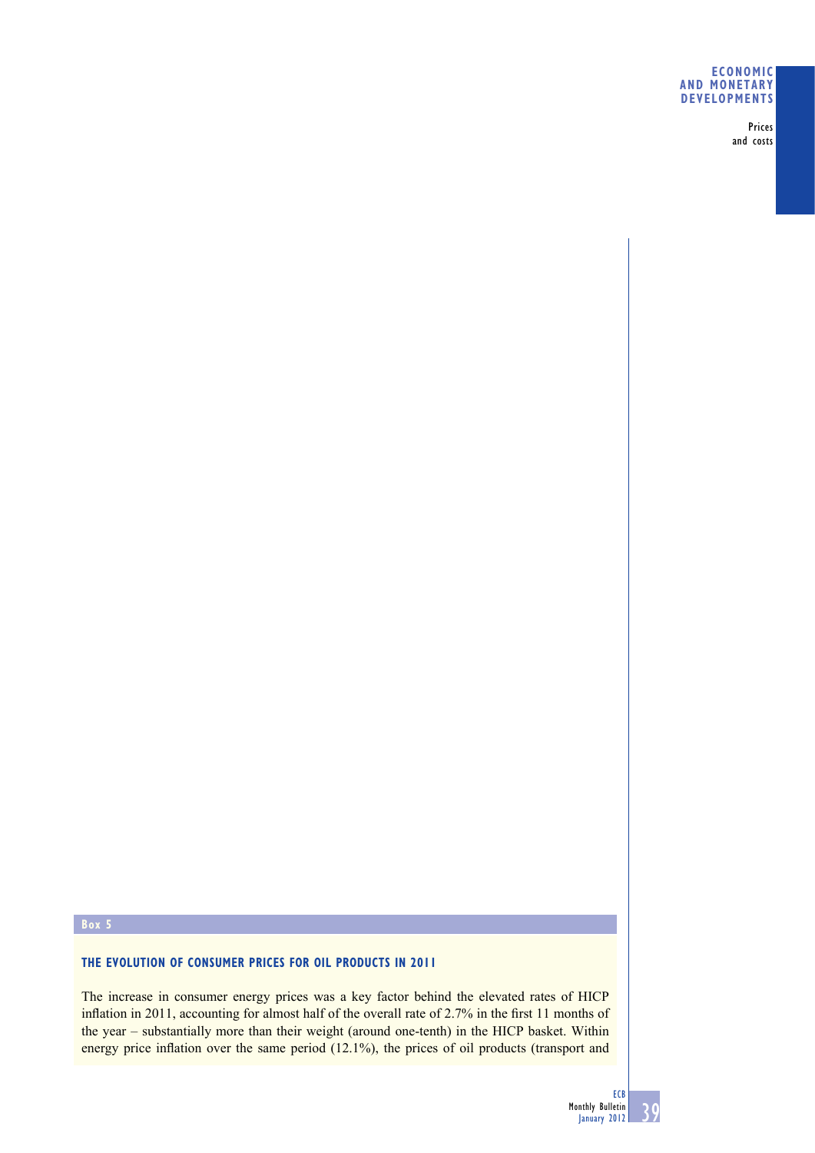### **ECONOMIC AND MONETARY DEVELOPMENTS**

Prices and costs

# **Box 5**

# **THE EVOLUTION OF CONSUMER PRICES FOR OIL PRODUCTS IN 2011**

The increase in consumer energy prices was a key factor behind the elevated rates of HICP inflation in 2011, accounting for almost half of the overall rate of  $2.7\%$  in the first 11 months of the year – substantially more than their weight (around one-tenth) in the HICP basket. Within energy price inflation over the same period  $(12.1\%)$ , the prices of oil products (transport and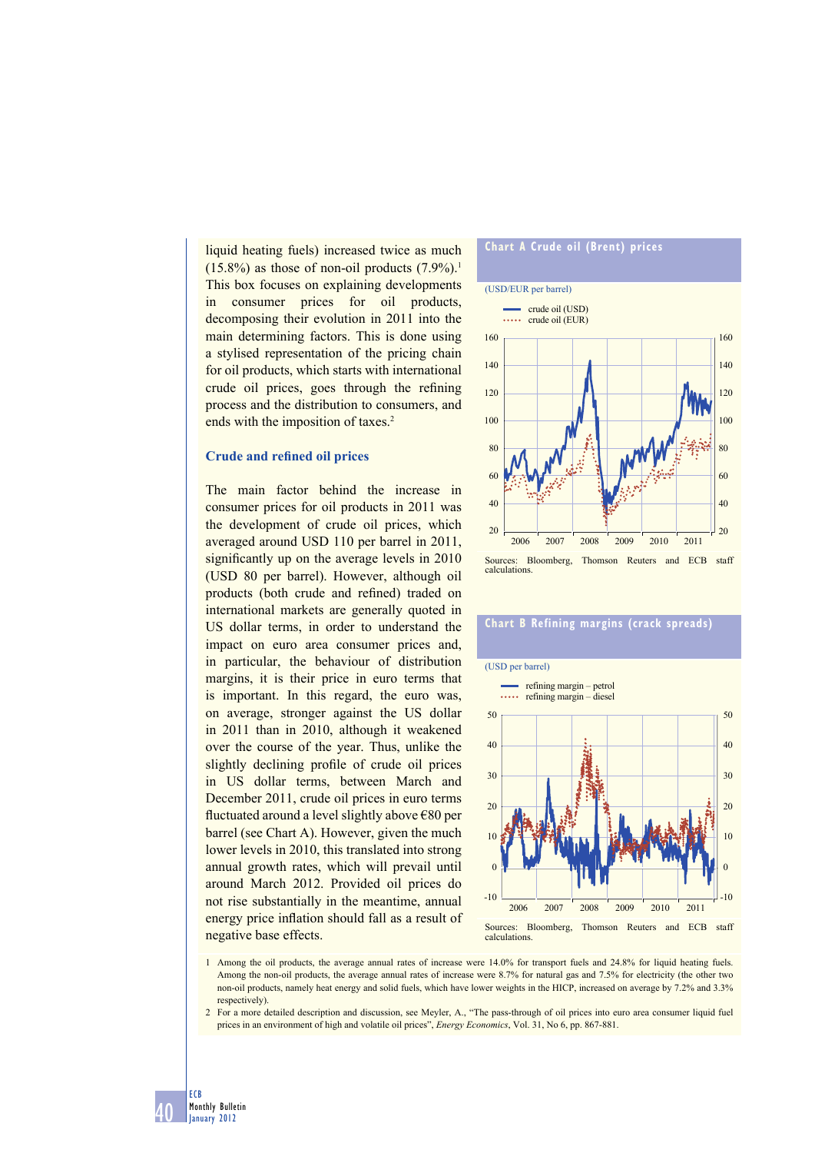liquid heating fuels) increased twice as much  $(15.8\%)$  as those of non-oil products  $(7.9\%)$ <sup>1</sup> This box focuses on explaining developments in consumer prices for oil products, decomposing their evolution in 2011 into the main determining factors. This is done using a stylised representation of the pricing chain for oil products, which starts with international crude oil prices, goes through the refining process and the distribution to consumers, and ends with the imposition of taxes.<sup>2</sup>

#### **Crude and refined oil prices**

The main factor behind the increase in consumer prices for oil products in 2011 was the development of crude oil prices, which averaged around USD 110 per barrel in 2011, significantly up on the average levels in 2010 (USD 80 per barrel). However, although oil products (both crude and refined) traded on international markets are generally quoted in US dollar terms, in order to understand the impact on euro area consumer prices and, in particular, the behaviour of distribution margins, it is their price in euro terms that is important. In this regard, the euro was, on average, stronger against the US dollar in 2011 than in 2010, although it weakened over the course of the year. Thus, unlike the slightly declining profile of crude oil prices in US dollar terms, between March and December 2011, crude oil prices in euro terms fluctuated around a level slightly above €80 per barrel (see Chart A). However, given the much lower levels in 2010, this translated into strong annual growth rates, which will prevail until around March 2012. Provided oil prices do not rise substantially in the meantime, annual energy price inflation should fall as a result of negative base effects.

#### **Chart A Crude oil (Brent) prices** (USD/EUR per barrel) 20 40 60 80 100 120 140 160 20 40 60 80 100 120 140 160 2006 2007 2008 2009 2010 2011 crude oil (USD) crude oil (EUR) Sources: Bloomberg, Thomson Reuters and ECB staff calculations.

### **Chart B Refining margins (crack spreads)**



1 Among the oil products, the average annual rates of increase were 14.0% for transport fuels and 24.8% for liquid heating fuels. Among the non-oil products, the average annual rates of increase were 8.7% for natural gas and 7.5% for electricity (the other two non-oil products, namely heat energy and solid fuels, which have lower weights in the HICP, increased on average by 7.2% and 3.3% respectively).

2 For a more detailed description and discussion, see Meyler, A., "The pass-through of oil prices into euro area consumer liquid fuel prices in an environment of high and volatile oil prices", *Energy Economics*, Vol. 31, No 6, pp. 867-881.

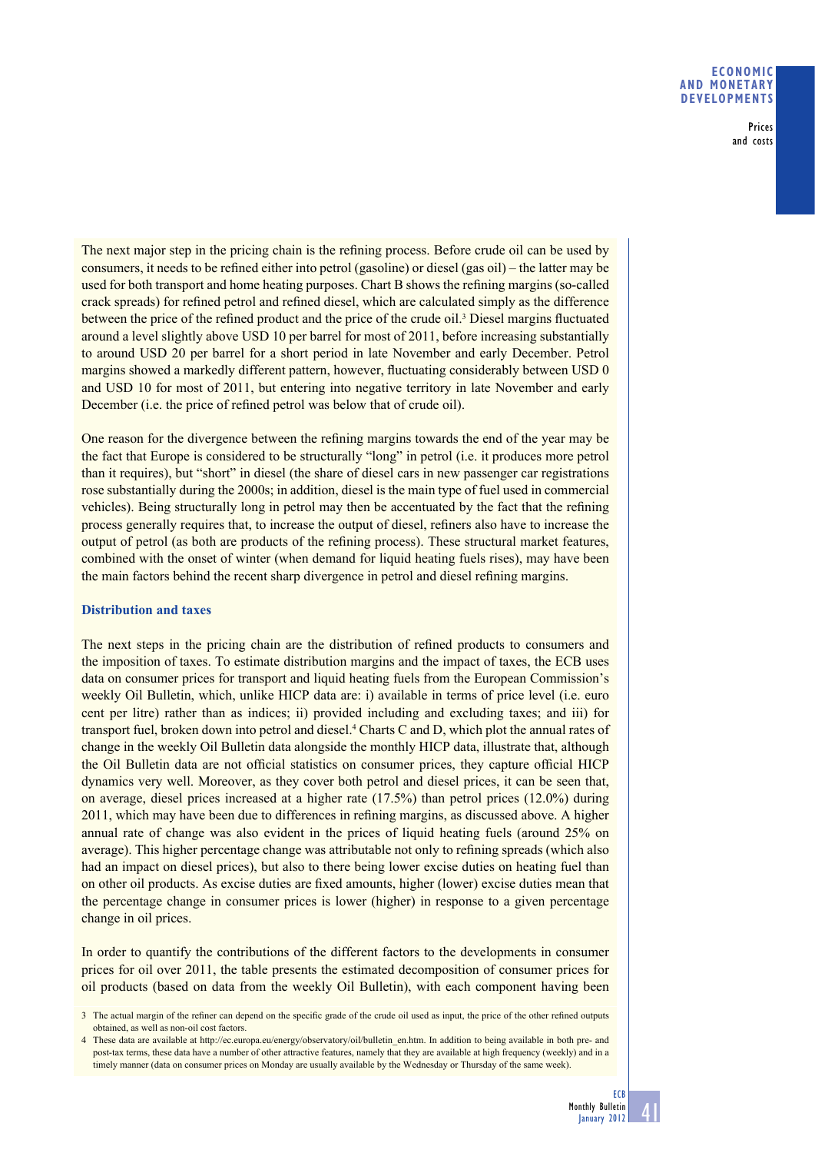### **ECONOMIC AND MONETARY DEVELOPMENTS**

Prices and costs

The next major step in the pricing chain is the refining process. Before crude oil can be used by consumers, it needs to be refined either into petrol (gasoline) or diesel (gas oil) – the latter may be used for both transport and home heating purposes. Chart B shows the refining margins (so-called crack spreads) for refined petrol and refined diesel, which are calculated simply as the difference between the price of the refined product and the price of the crude oil.<sup>3</sup> Diesel margins fluctuated around a level slightly above USD 10 per barrel for most of 2011, before increasing substantially to around USD 20 per barrel for a short period in late November and early December. Petrol margins showed a markedly different pattern, however, fluctuating considerably between USD 0 and USD 10 for most of 2011, but entering into negative territory in late November and early December (i.e. the price of refined petrol was below that of crude oil).

One reason for the divergence between the refining margins towards the end of the year may be the fact that Europe is considered to be structurally "long" in petrol (i.e. it produces more petrol than it requires), but "short" in diesel (the share of diesel cars in new passenger car registrations rose substantially during the 2000s; in addition, diesel is the main type of fuel used in commercial vehicles). Being structurally long in petrol may then be accentuated by the fact that the refining process generally requires that, to increase the output of diesel, refiners also have to increase the output of petrol (as both are products of the refining process). These structural market features, combined with the onset of winter (when demand for liquid heating fuels rises), may have been the main factors behind the recent sharp divergence in petrol and diesel refining margins.

## **Distribution and taxes**

The next steps in the pricing chain are the distribution of refined products to consumers and the imposition of taxes. To estimate distribution margins and the impact of taxes, the ECB uses data on consumer prices for transport and liquid heating fuels from the European Commission's weekly Oil Bulletin, which, unlike HICP data are: i) available in terms of price level (i.e. euro cent per litre) rather than as indices; ii) provided including and excluding taxes; and iii) for transport fuel, broken down into petrol and diesel.<sup>4</sup> Charts C and D, which plot the annual rates of change in the weekly Oil Bulletin data alongside the monthly HICP data, illustrate that, although the Oil Bulletin data are not official statistics on consumer prices, they capture official HICP dynamics very well. Moreover, as they cover both petrol and diesel prices, it can be seen that, on average, diesel prices increased at a higher rate (17.5%) than petrol prices (12.0%) during 2011, which may have been due to differences in refining margins, as discussed above. A higher annual rate of change was also evident in the prices of liquid heating fuels (around 25% on average). This higher percentage change was attributable not only to refining spreads (which also had an impact on diesel prices), but also to there being lower excise duties on heating fuel than on other oil products. As excise duties are fixed amounts, higher (lower) excise duties mean that the percentage change in consumer prices is lower (higher) in response to a given percentage change in oil prices.

In order to quantify the contributions of the different factors to the developments in consumer prices for oil over 2011, the table presents the estimated decomposition of consumer prices for oil products (based on data from the weekly Oil Bulletin), with each component having been

41

<sup>3</sup> The actual margin of the refiner can depend on the specific grade of the crude oil used as input, the price of the other refined outputs obtained, as well as non-oil cost factors.

<sup>4</sup> These data are available at http://ec.europa.eu/energy/observatory/oil/bulletin\_en.htm. In addition to being available in both pre- and post-tax terms, these data have a number of other attractive features, namely that they are available at high frequency (weekly) and in a timely manner (data on consumer prices on Monday are usually available by the Wednesday or Thursday of the same week).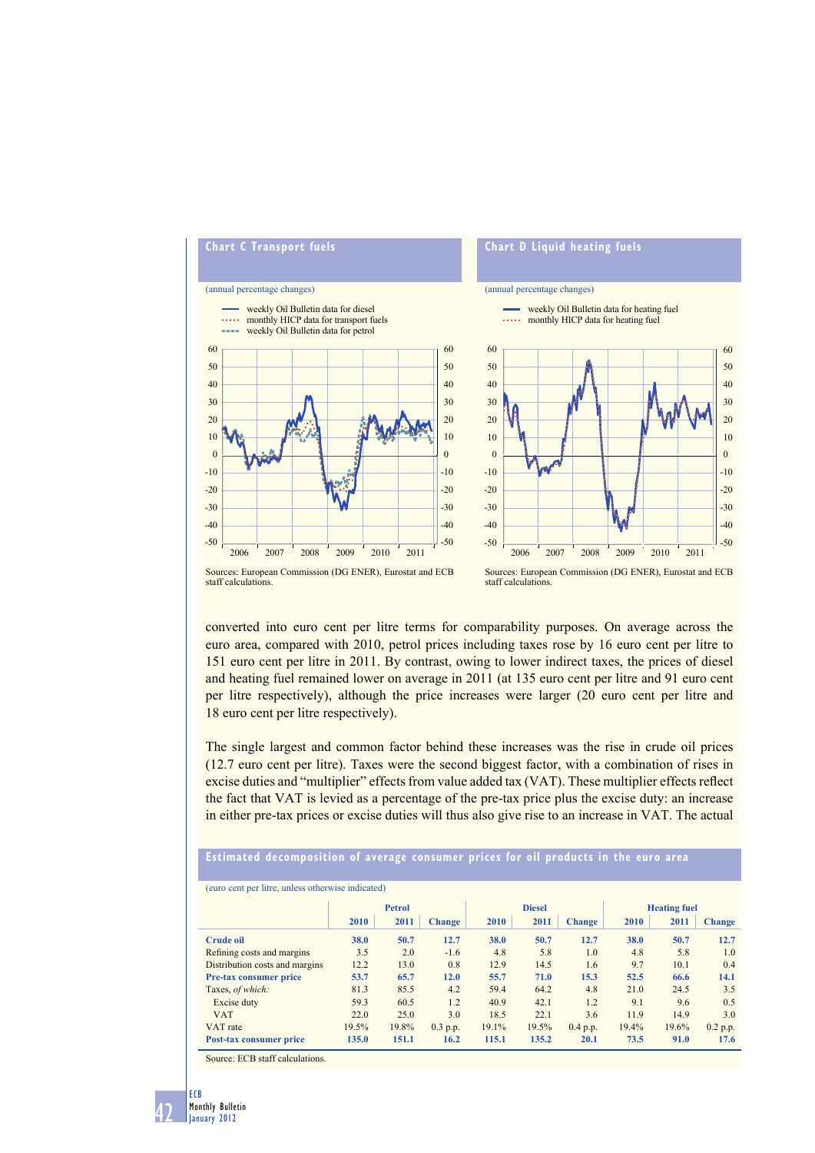

converted into euro cent per litre terms for comparability purposes. On average across the euro area, compared with 2010, petrol prices including taxes rose by 16 euro cent per litre to 151 euro cent per litre in 2011. By contrast, owing to lower indirect taxes, the prices of diesel and heating fuel remained lower on average in 2011 (at 135 euro cent per litre and 91 euro cent per litre respectively), although the price increases were larger (20 euro cent per litre and 18 euro cent per litre respectively).

The single largest and common factor behind these increases was the rise in crude oil prices (12.7 euro cent per litre). Taxes were the second biggest factor, with a combination of rises in excise duties and "multiplier" effects from value added tax (VAT). These multiplier effects reflect the fact that VAT is levied as a percentage of the pre-tax price plus the excise duty: an increase in either pre-tax prices or excise duties will thus also give rise to an increase in VAT. The actual

## **Estimated decomposition of average consumer prices for oil products in the euro area**

| (euro cent per litre, unless otherwise indicated) |               |       |               |               |       |               |                     |       |               |
|---------------------------------------------------|---------------|-------|---------------|---------------|-------|---------------|---------------------|-------|---------------|
|                                                   | <b>Petrol</b> |       |               | <b>Diesel</b> |       |               | <b>Heating fuel</b> |       |               |
|                                                   | 2010          | 2011  | <b>Change</b> | 2010          | 2011  | <b>Change</b> | 2010                | 2011  | <b>Change</b> |
| <b>Crude oil</b>                                  | 38.0          | 50.7  | 12.7          | 38.0          | 50.7  | 12.7          | 38.0                | 50.7  | 12.7          |
| Refining costs and margins                        | 3.5           | 2.0   | $-1.6$        | 4.8           | 5.8   | 1.0           | 4.8                 | 5.8   | 1.0           |
| Distribution costs and margins                    | 12.2          | 13.0  | 0.8           | 12.9          | 14.5  | 1.6           | 9.7                 | 10.1  | 0.4           |
| <b>Pre-tax consumer price</b>                     | 53.7          | 65.7  | 12.0          | 55.7          | 71.0  | 15.3          | 52.5                | 66.6  | 14.1          |
| Taxes, of which:                                  | 81.3          | 85.5  | 4.2           | 59.4          | 64.2  | 4.8           | 21.0                | 24.5  | 3.5           |
| Excise duty                                       | 59.3          | 60.5  | 1.2           | 40.9          | 42.1  | 1.2           | 9.1                 | 9.6   | 0.5           |
| <b>VAT</b>                                        | 22.0          | 25.0  | 3.0           | 18.5          | 22.1  | 3.6           | 11.9                | 14.9  | 3.0           |
| VAT rate                                          | 19.5%         | 19.8% | $0.3$ p.p.    | 19.1%         | 19.5% | 0.4 p.p.      | 19.4%               | 19.6% | 0.2 p.p.      |
| Post-tax consumer price                           | 135.0         | 151.1 | 16.2          | 115.1         | 135.2 | 20.1          | 73.5                | 91.0  | 17.6          |
| $\alpha$ <b>EQD</b> $\alpha$ <b>EQD</b>           |               |       |               |               |       |               |                     |       |               |

Source: ECB staff calculations.